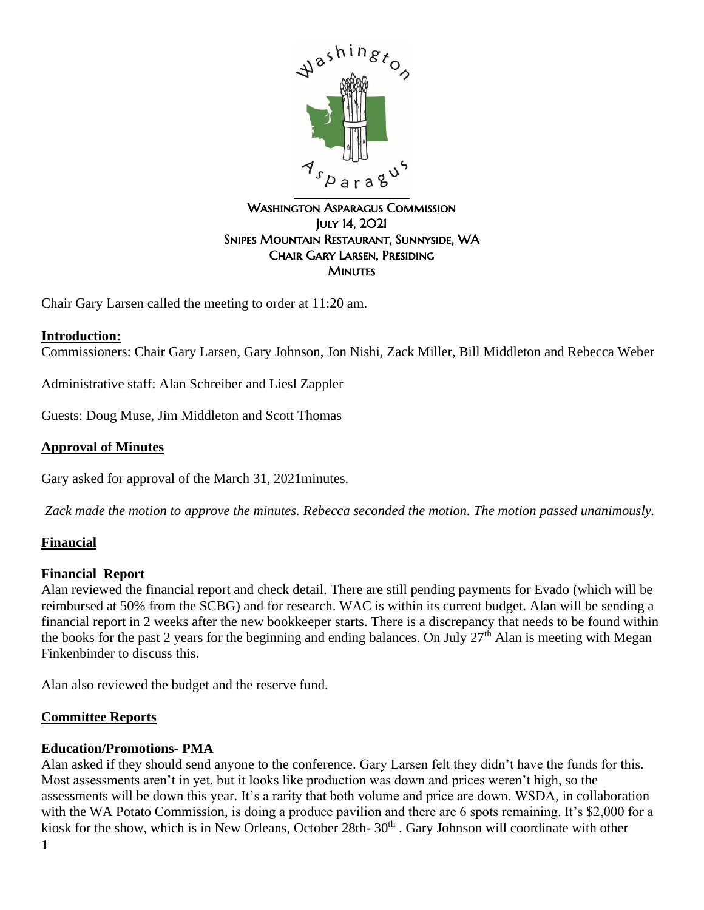

### WASHINGTON ASPARAGUS COMMISSION July 14, 2021 Snipes Mountain Restaurant, Sunnyside, WA Chair Gary Larsen, Presiding **MINUTES**

Chair Gary Larsen called the meeting to order at 11:20 am.

# **Introduction:**

Commissioners: Chair Gary Larsen, Gary Johnson, Jon Nishi, Zack Miller, Bill Middleton and Rebecca Weber

Administrative staff: Alan Schreiber and Liesl Zappler

Guests: Doug Muse, Jim Middleton and Scott Thomas

### **Approval of Minutes**

Gary asked for approval of the March 31, 2021minutes.

*Zack made the motion to approve the minutes. Rebecca seconded the motion. The motion passed unanimously.*

### **Financial**

### **Financial Report**

Alan reviewed the financial report and check detail. There are still pending payments for Evado (which will be reimbursed at 50% from the SCBG) and for research. WAC is within its current budget. Alan will be sending a financial report in 2 weeks after the new bookkeeper starts. There is a discrepancy that needs to be found within the books for the past 2 years for the beginning and ending balances. On July  $27<sup>th</sup>$  Alan is meeting with Megan Finkenbinder to discuss this.

Alan also reviewed the budget and the reserve fund.

### **Committee Reports**

# **Education/Promotions- PMA**

Alan asked if they should send anyone to the conference. Gary Larsen felt they didn't have the funds for this. Most assessments aren't in yet, but it looks like production was down and prices weren't high, so the assessments will be down this year. It's a rarity that both volume and price are down. WSDA, in collaboration with the WA Potato Commission, is doing a produce pavilion and there are 6 spots remaining. It's \$2,000 for a kiosk for the show, which is in New Orleans, October 28th- 30<sup>th</sup> . Gary Johnson will coordinate with other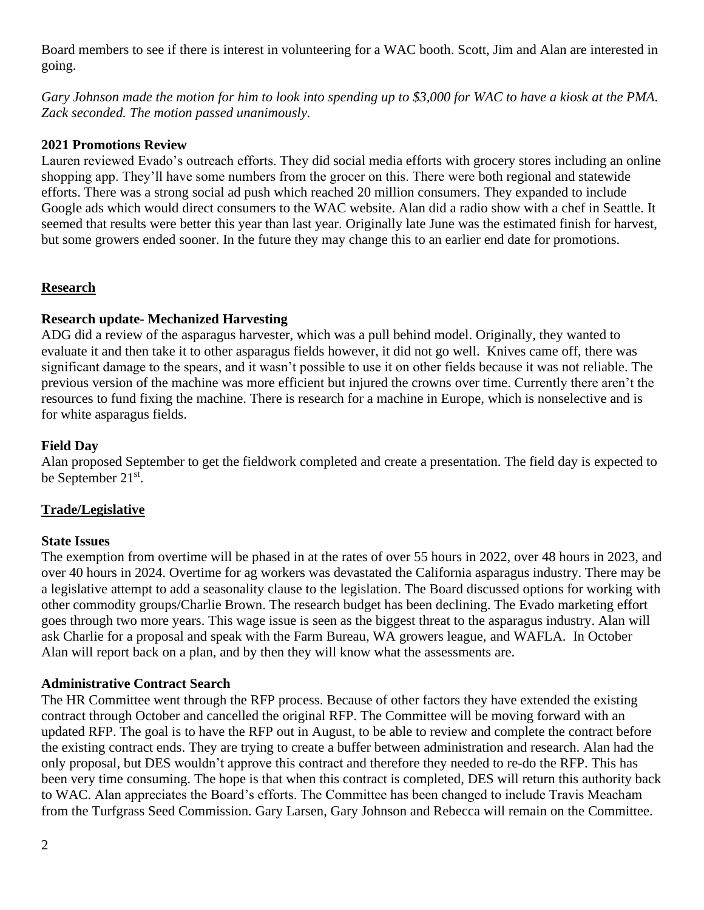Board members to see if there is interest in volunteering for a WAC booth. Scott, Jim and Alan are interested in going.

*Gary Johnson made the motion for him to look into spending up to \$3,000 for WAC to have a kiosk at the PMA. Zack seconded. The motion passed unanimously.* 

### **2021 Promotions Review**

Lauren reviewed Evado's outreach efforts. They did social media efforts with grocery stores including an online shopping app. They'll have some numbers from the grocer on this. There were both regional and statewide efforts. There was a strong social ad push which reached 20 million consumers. They expanded to include Google ads which would direct consumers to the WAC website. Alan did a radio show with a chef in Seattle. It seemed that results were better this year than last year. Originally late June was the estimated finish for harvest, but some growers ended sooner. In the future they may change this to an earlier end date for promotions.

# **Research**

# **Research update- Mechanized Harvesting**

ADG did a review of the asparagus harvester, which was a pull behind model. Originally, they wanted to evaluate it and then take it to other asparagus fields however, it did not go well. Knives came off, there was significant damage to the spears, and it wasn't possible to use it on other fields because it was not reliable. The previous version of the machine was more efficient but injured the crowns over time. Currently there aren't the resources to fund fixing the machine. There is research for a machine in Europe, which is nonselective and is for white asparagus fields.

### **Field Day**

Alan proposed September to get the fieldwork completed and create a presentation. The field day is expected to be September 21<sup>st</sup>.

### **Trade/Legislative**

### **State Issues**

The exemption from overtime will be phased in at the rates of over 55 hours in 2022, over 48 hours in 2023, and over 40 hours in 2024. Overtime for ag workers was devastated the California asparagus industry. There may be a legislative attempt to add a seasonality clause to the legislation. The Board discussed options for working with other commodity groups/Charlie Brown. The research budget has been declining. The Evado marketing effort goes through two more years. This wage issue is seen as the biggest threat to the asparagus industry. Alan will ask Charlie for a proposal and speak with the Farm Bureau, WA growers league, and WAFLA. In October Alan will report back on a plan, and by then they will know what the assessments are.

### **Administrative Contract Search**

The HR Committee went through the RFP process. Because of other factors they have extended the existing contract through October and cancelled the original RFP. The Committee will be moving forward with an updated RFP. The goal is to have the RFP out in August, to be able to review and complete the contract before the existing contract ends. They are trying to create a buffer between administration and research. Alan had the only proposal, but DES wouldn't approve this contract and therefore they needed to re-do the RFP. This has been very time consuming. The hope is that when this contract is completed, DES will return this authority back to WAC. Alan appreciates the Board's efforts. The Committee has been changed to include Travis Meacham from the Turfgrass Seed Commission. Gary Larsen, Gary Johnson and Rebecca will remain on the Committee.